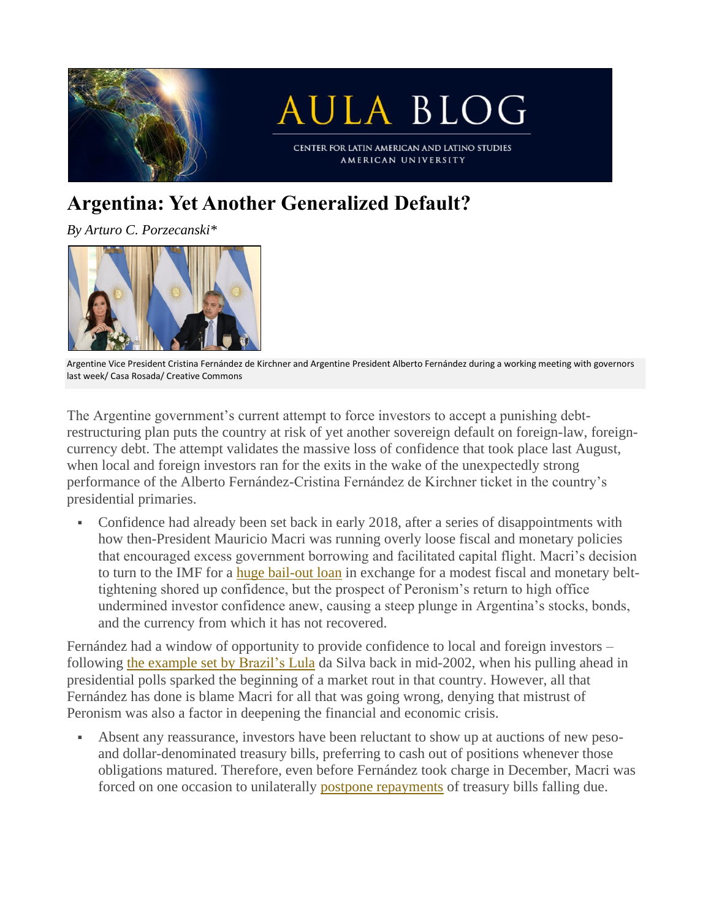

## **Argentina: Yet Another Generalized Default?**

*By Arturo C. Porzecanski\**



Argentine Vice President Cristina Fernández de Kirchner and Argentine President Alberto Fernández during a working meeting with governors last week/ Casa Rosada/ Creative Commons

The Argentine government's current attempt to force investors to accept a punishing debtrestructuring plan puts the country at risk of yet another sovereign default on foreign-law, foreigncurrency debt. The attempt validates the massive loss of confidence that took place last August, when local and foreign investors ran for the exits in the wake of the unexpectedly strong performance of the Alberto Fernández-Cristina Fernández de Kirchner ticket in the country's presidential primaries.

• Confidence had already been set back in early 2018, after a series of disappointments with how then-President Mauricio Macri was running overly loose fiscal and monetary policies that encouraged excess government borrowing and facilitated capital flight. Macri's decision to turn to the IMF for a huge [bail-out](https://www.ft.com/content/b90e9fdd-d8ae-421f-9a40-380305ed811a) loan in exchange for a modest fiscal and monetary belttightening shored up confidence, but the prospect of Peronism's return to high office undermined investor confidence anew, causing a steep plunge in Argentina's stocks, bonds, and the currency from which it has not recovered.

Fernández had a window of opportunity to provide confidence to local and foreign investors – following the [example](https://aulablog.net/2019/08/22/argentina-market-meltdown-can-be-halted/) set by Brazil's Lula da Silva back in mid-2002, when his pulling ahead in presidential polls sparked the beginning of a market rout in that country. However, all that Fernández has done is blame Macri for all that was going wrong, denying that mistrust of Peronism was also a factor in deepening the financial and economic crisis.

▪ Absent any reassurance, investors have been reluctant to show up at auctions of new pesoand dollar-denominated treasury bills, preferring to cash out of positions whenever those obligations matured. Therefore, even before Fernández took charge in December, Macri was forced on one occasion to unilaterally postpone [repayments](https://www.bnamericas.com/en/news/fitch-downgrades-argentina-to-restricted-default) of treasury bills falling due.